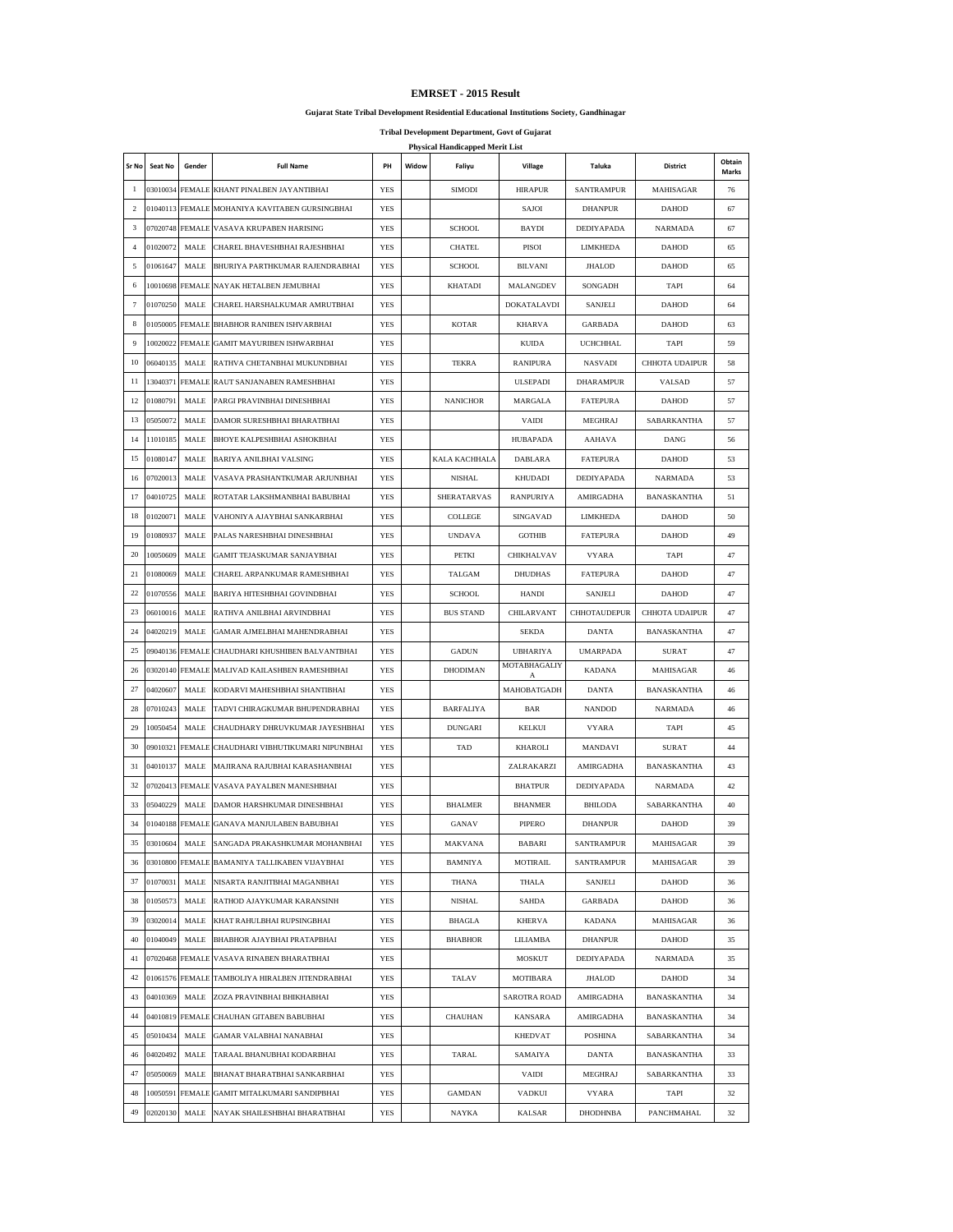## **Gujarat State Tribal Development Residential Educational Institutions Society, Gandhinagar**

**Tribal Development Department, Govt of Gujarat**

|                | <b>Physical Handicapped Merit List</b> |                 |                                               |            |       |                  |                     |                   |                    |                        |
|----------------|----------------------------------------|-----------------|-----------------------------------------------|------------|-------|------------------|---------------------|-------------------|--------------------|------------------------|
| Sr No          | Seat No                                | Gender          | <b>Full Name</b>                              | PH         | Widow | Faliyu           | Village             | Taluka            | District           | Obtain<br><b>Marks</b> |
| $\mathbf{1}$   |                                        |                 | 03010034 FEMALE KHANT PINALBEN JAYANTIBHAI    | <b>YES</b> |       | <b>SIMODI</b>    | <b>HIRAPUR</b>      | <b>SANTRAMPUR</b> | MAHISAGAR          | 76                     |
| $\overline{c}$ | 01040113                               |                 | FEMALE MOHANIYA KAVITABEN GURSINGBHAI         | <b>YES</b> |       |                  | SAJOI               | <b>DHANPUR</b>    | <b>DAHOD</b>       | 67                     |
| 3              |                                        | 07020748 FEMALE | VASAVA KRUPABEN HARISING                      | <b>YES</b> |       | <b>SCHOOL</b>    | BAYDI               | DEDIYAPADA        | <b>NARMADA</b>     | 67                     |
| $\overline{4}$ | 01020072                               | MALE            | CHAREL BHAVESHBHAI RAJESHBHAI                 | <b>YES</b> |       | CHATEL           | PISOI               | LIMKHEDA          | <b>DAHOD</b>       | 65                     |
| 5              | 01061647                               | MALE            | BHURIYA PARTHKUMAR RAJENDRABHAI               | <b>YES</b> |       | <b>SCHOOL</b>    | <b>BILVANI</b>      | <b>JHALOD</b>     | <b>DAHOD</b>       | 65                     |
| 6              |                                        | 10010698 FEMALE | NAYAK HETALBEN JEMUBHAI                       | <b>YES</b> |       | <b>KHATADI</b>   | MALANGDEV           | SONGADH           | <b>TAPI</b>        | 64                     |
| $\tau$         | 01070250                               | MALE            | CHAREL HARSHALKUMAR AMRUTBHAI                 | <b>YES</b> |       |                  | DOKATALAVDI         | SANJELI           | <b>DAHOD</b>       | 64                     |
| 8              | 01050005                               | <b>FEMALE</b>   | BHABHOR RANIBEN ISHVARBHAI                    | YES        |       | <b>KOTAR</b>     | <b>KHARVA</b>       | <b>GARBADA</b>    | <b>DAHOD</b>       | 63                     |
| 9              | 10020022                               | <b>FEMALE</b>   | <b>GAMIT MAYURIBEN ISHWARBHAI</b>             | <b>YES</b> |       |                  | <b>KUIDA</b>        | <b>UCHCHHAL</b>   | <b>TAPI</b>        | 59                     |
| 10             | 06040135                               | MALE            | RATHVA CHETANBHAI MUKUNDBHAI                  | <b>YES</b> |       | <b>TEKRA</b>     | <b>RANIPURA</b>     | <b>NASVADI</b>    | CHHOTA UDAIPUR     | 58                     |
| 11             | 13040371                               |                 | FEMALE RAUT SANJANABEN RAMESHBHAI             | <b>YES</b> |       |                  | <b>ULSEPADI</b>     | <b>DHARAMPUR</b>  | VALSAD             | 57                     |
| 12             | 01080791                               | MALE            | PARGI PRAVINBHAI DINESHBHAI                   | YES        |       | <b>NANICHOR</b>  | MARGALA             | <b>FATEPURA</b>   | <b>DAHOD</b>       | 57                     |
| 13             | 05050072                               | MALE            | DAMOR SURESHBHAI BHARATBHAI                   | <b>YES</b> |       |                  | <b>VAIDI</b>        | <b>MEGHRAJ</b>    | SABARKANTHA        | 57                     |
| 14             | 11010185                               | MALE            | BHOYE KALPESHBHAI ASHOKBHAI                   | <b>YES</b> |       |                  | <b>HUBAPADA</b>     | AAHAVA            | DANG               | 56                     |
| 15             | 01080147                               | MALE            | <b>BARIYA ANILBHAI VALSING</b>                | <b>YES</b> |       | KALA KACHHALA    | <b>DABLARA</b>      | <b>FATEPURA</b>   | <b>DAHOD</b>       | 53                     |
| 16             | 07020013                               | MALE            | VASAVA PRASHANTKUMAR ARJUNBHAI                | <b>YES</b> |       | NISHAL           | KHUDADI             | DEDIYAPADA        | <b>NARMADA</b>     | 53                     |
| 17             | 04010725                               | MALE            | ROTATAR LAKSHMANBHAI BABUBHAI                 | <b>YES</b> |       | SHERATARVAS      | <b>RANPURIYA</b>    | AMIRGADHA         | BANASKANTHA        | 51                     |
| 18             | 01020071                               | MALE            | VAHONIYA AJAYBHAI SANKARBHAI                  | <b>YES</b> |       | COLLEGE          | SINGAVAD            | <b>LIMKHEDA</b>   | <b>DAHOD</b>       | 50                     |
| 19             | 01080937                               | MALE            | PALAS NARESHBHAI DINESHBHAI                   | <b>YES</b> |       | <b>UNDAVA</b>    | <b>GOTHIB</b>       | <b>FATEPURA</b>   | <b>DAHOD</b>       | 49                     |
| 20             | 10050609                               | MALE            | GAMIT TEJASKUMAR SANJAYBHAI                   | <b>YES</b> |       | PETKI            | CHIKHALVAV          | <b>VYARA</b>      | TAPI               | 47                     |
| 21             | 01080069                               | MALE            | CHAREL ARPANKUMAR RAMESHBHAI                  | YES        |       | TALGAM           | <b>DHUDHAS</b>      | <b>FATEPURA</b>   | <b>DAHOD</b>       | 47                     |
| 22             | 01070556                               | MALE            | BARIYA HITESHBHAI GOVINDBHAI                  | <b>YES</b> |       | <b>SCHOOL</b>    | <b>HANDI</b>        | <b>SANJELI</b>    | <b>DAHOD</b>       | 47                     |
| 23             | 06010016                               | MALE            | RATHVA ANILBHAI ARVINDBHAI                    | <b>YES</b> |       | <b>BUS STAND</b> | CHILARVANT          | CHHOTAUDEPUR      | CHHOTA UDAIPUR     | 47                     |
| 24             | 04020219                               | MALE            | GAMAR AJMELBHAI MAHENDRABHAI                  | <b>YES</b> |       |                  | <b>SEKDA</b>        | <b>DANTA</b>      | BANASKANTHA        | 47                     |
| 25             | 09040136                               | <b>FEMALE</b>   | CHAUDHARI KHUSHIBEN BALVANTBHAI               | <b>YES</b> |       | <b>GADUN</b>     | <b>UBHARIYA</b>     | <b>UMARPADA</b>   | <b>SURAT</b>       | 47                     |
| 26             | 03020140                               | <b>FEMALE</b>   | MALIVAD KAILASHBEN RAMESHBHAI                 | <b>YES</b> |       | <b>DHODIMAN</b>  | MOTABHAGALIY<br>А   | <b>KADANA</b>     | MAHISAGAR          | 46                     |
| 27             | 04020607                               | MALE            | KODARVI MAHESHBHAI SHANTIBHAI                 | <b>YES</b> |       |                  | MAHOBATGADH         | <b>DANTA</b>      | <b>BANASKANTHA</b> | 46                     |
| 28             | 07010243                               | MALE            | TADVI CHIRAGKUMAR BHUPENDRABHAI               | <b>YES</b> |       | <b>BARFALIYA</b> | BAR                 | <b>NANDOD</b>     | <b>NARMADA</b>     | 46                     |
| 29             | 10050454                               | MALE            | CHAUDHARY DHRUVKUMAR JAYESHBHAI               | <b>YES</b> |       | <b>DUNGARI</b>   | KELKUI              | <b>VYARA</b>      | <b>TAPI</b>        | 45                     |
| 30             | 09010321                               | <b>FEMALE</b>   | CHAUDHARI VIBHUTIKUMARI NIPUNBHAI             | <b>YES</b> |       | TAD              | <b>KHAROLI</b>      | MANDAVI           | <b>SURAT</b>       | 44                     |
| 31             | 04010137                               | MALE            | MAJIRANA RAJUBHAI KARASHANBHAI                | <b>YES</b> |       |                  | ZALRAKARZI          | AMIRGADHA         | BANASKANTHA        | 43                     |
| 32             |                                        | 07020413 FEMALE | VASAVA PAYALBEN MANESHBHAI                    | <b>YES</b> |       |                  | <b>BHATPUR</b>      | DEDIYAPADA        | <b>NARMADA</b>     | 42                     |
| 33             | 05040229                               | MALE            | DAMOR HARSHKUMAR DINESHBHAI                   | <b>YES</b> |       | <b>BHALMER</b>   | <b>BHANMER</b>      | BHILODA           | SABARKANTHA        | 40                     |
| 34             | 01040188                               |                 | FEMALE GANAVA MANJULABEN BABUBHAI             | <b>YES</b> |       | <b>GANAV</b>     | PIPERO              | <b>DHANPUR</b>    | <b>DAHOD</b>       | 39                     |
| 35             | 03010604                               |                 | MALE SANGADA PRAKASHKUMAR MOHANBHAI           | YES        |       | MAKVANA          | BABARI              | SANTRAMPUR        | MAHISAGAR          | 39                     |
| 36             |                                        |                 | 03010800 FEMALE BAMANIYA TALLIKABEN VIJAYBHAI | YES        |       | BAMNIYA          | <b>MOTIRAIL</b>     | SANTRAMPUR        | MAHISAGAR          | 39                     |
| 37             | 01070031                               | MALE            | NISARTA RANJITBHAI MAGANBHAI                  | YES        |       | THANA            | THALA               | SANJELI           | <b>DAHOD</b>       | 36                     |
| 38             | 01050573                               | MALE            | RATHOD AJAYKUMAR KARANSINH                    | YES        |       | <b>NISHAL</b>    | SAHDA               | <b>GARBADA</b>    | <b>DAHOD</b>       | 36                     |
| 39             | 03020014                               | MALE            | KHAT RAHULBHAI RUPSINGBHAI                    | YES        |       | <b>BHAGLA</b>    | <b>KHERVA</b>       | KADANA            | MAHISAGAR          | 36                     |
| 40             | 01040049                               | MALE            | BHABHOR AJAYBHAI PRATAPBHAI                   | YES        |       | <b>BHABHOR</b>   | LILIAMBA            | <b>DHANPUR</b>    | DAHOD              | 35                     |
| 41             | 07020468                               | FEMALE          | VASAVA RINABEN BHARATBHAI                     | YES        |       |                  | MOSKUT              | DEDIYAPADA        | NARMADA            | 35                     |
| 42             | 01061576                               | <b>FEMALE</b>   | TAMBOLIYA HIRALBEN JITENDRABHAI               | YES        |       | TALAV            | MOTIBARA            | <b>JHALOD</b>     | <b>DAHOD</b>       | 34                     |
| 43             | 04010369                               | MALE            | ZOZA PRAVINBHAI BHIKHABHAI                    | YES        |       |                  | <b>SAROTRA ROAD</b> | AMIRGADHA         | BANASKANTHA        | 34                     |
| 44             | 04010819                               |                 | FEMALE CHAUHAN GITABEN BABUBHAI               | YES        |       | <b>CHAUHAN</b>   | <b>KANSARA</b>      | AMIRGADHA         | BANASKANTHA        | 34                     |
| 45             | 05010434                               | MALE            | <b>GAMAR VALABHAI NANABHAI</b>                | YES        |       |                  | <b>KHEDVAT</b>      | POSHINA           | SABARKANTHA        | 34                     |
| 46             | 04020492                               | MALE            | TARAAL BHANUBHAI KODARBHAI                    | YES        |       | TARAL            | SAMAIYA             | DANTA             | BANASKANTHA        | 33                     |
| 47             | 05050069                               | MALE            | BHANAT BHARATBHAI SANKARBHAI                  | YES        |       |                  | VAIDI               | MEGHRAJ           | SABARKANTHA        | 33                     |
| 48             | 10050591                               |                 | FEMALE GAMIT MITALKUMARI SANDIPBHAI           | YES        |       | <b>GAMDAN</b>    | VADKUI              | <b>VYARA</b>      | TAPI               | 32                     |
| 49             | 02020130                               | MALE            | NAYAK SHAILESHBHAI BHARATBHAI                 | YES        |       | NAYKA            | KALSAR              | DHODHNBA          | PANCHMAHAL         | 32                     |